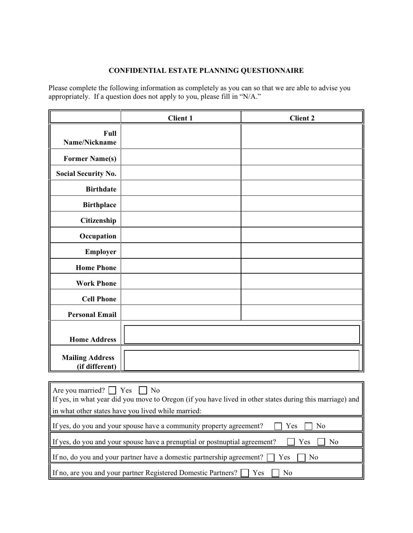## **CONFIDENTIAL ESTATE PLANNING QUESTIONNAIRE**

Please complete the following information as completely as you can so that we are able to advise you appropriately. If a question does not apply to you, please fill in "N/A."

|                                          | <b>Client 1</b> | <b>Client 2</b> |
|------------------------------------------|-----------------|-----------------|
| Full<br>Name/Nickname                    |                 |                 |
| <b>Former Name(s)</b>                    |                 |                 |
| <b>Social Security No.</b>               |                 |                 |
| <b>Birthdate</b>                         |                 |                 |
| <b>Birthplace</b>                        |                 |                 |
| Citizenship                              |                 |                 |
| Occupation                               |                 |                 |
| <b>Employer</b>                          |                 |                 |
| <b>Home Phone</b>                        |                 |                 |
| <b>Work Phone</b>                        |                 |                 |
| <b>Cell Phone</b>                        |                 |                 |
| <b>Personal Email</b>                    |                 |                 |
| <b>Home Address</b>                      |                 |                 |
| <b>Mailing Address</b><br>(if different) |                 |                 |

| Are you married? $\vert$ $\vert$ Yes $\vert$ $\vert$ No<br>If yes, in what year did you move to Oregon (if you have lived in other states during this marriage) and |
|---------------------------------------------------------------------------------------------------------------------------------------------------------------------|
| in what other states have you lived while married:                                                                                                                  |
| If yes, do you and your spouse have a community property agreement?<br>Yes.<br>N <sub>0</sub>                                                                       |
| If yes, do you and your spouse have a prenuptial or postnuptial agreement?<br>Yes<br>N <sub>0</sub>                                                                 |
| If no, do you and your partner have a domestic partnership agreement?<br>Yes<br>N <sub>0</sub>                                                                      |
| If no, are you and your partner Registered Domestic Partners?   Yes<br>No                                                                                           |

Г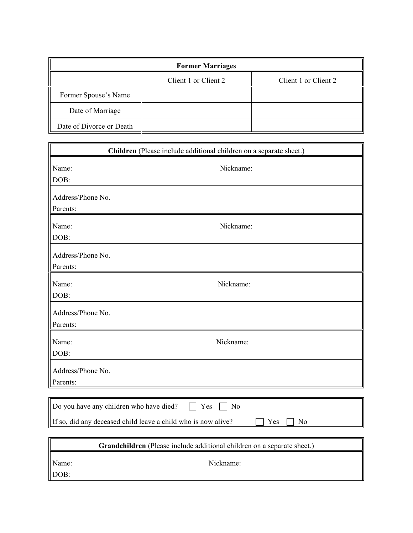| <b>Former Marriages</b>  |                      |                      |  |  |  |
|--------------------------|----------------------|----------------------|--|--|--|
|                          | Client 1 or Client 2 | Client 1 or Client 2 |  |  |  |
| Former Spouse's Name     |                      |                      |  |  |  |
| Date of Marriage         |                      |                      |  |  |  |
| Date of Divorce or Death |                      |                      |  |  |  |

|                                         | Children (Please include additional children on a separate sheet.)                     |
|-----------------------------------------|----------------------------------------------------------------------------------------|
| Name:                                   | Nickname:                                                                              |
| DOB:                                    |                                                                                        |
| Address/Phone No.                       |                                                                                        |
| Parents:                                |                                                                                        |
| Name:                                   | Nickname:                                                                              |
| DOB:                                    |                                                                                        |
| Address/Phone No.                       |                                                                                        |
| Parents:                                |                                                                                        |
| Name:                                   | Nickname:                                                                              |
| DOB:                                    |                                                                                        |
| Address/Phone No.                       |                                                                                        |
| Parents:                                |                                                                                        |
| Name:                                   | Nickname:                                                                              |
| DOB:                                    |                                                                                        |
| Address/Phone No.                       |                                                                                        |
| Parents:                                |                                                                                        |
|                                         |                                                                                        |
| Do you have any children who have died? | Yes<br>No                                                                              |
|                                         | If so, did any deceased child leave a child who is now alive?<br>Yes<br>N <sub>o</sub> |
|                                         |                                                                                        |
|                                         | Grandchildren (Please include additional children on a separate sheet.)                |
| Name:                                   | Nickname:                                                                              |
| DOB:                                    |                                                                                        |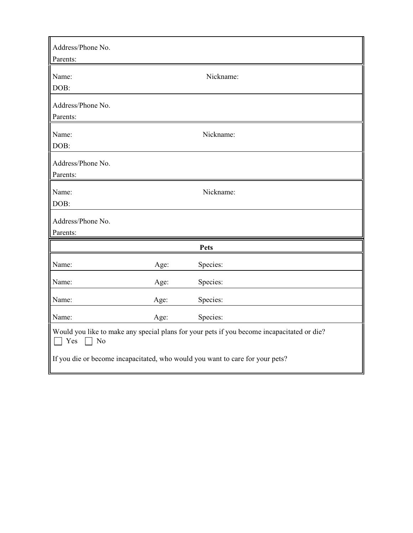| Address/Phone No.<br>Parents:                                                                                                                                                                   |      |           |
|-------------------------------------------------------------------------------------------------------------------------------------------------------------------------------------------------|------|-----------|
| Name:<br>DOB:                                                                                                                                                                                   |      | Nickname: |
| Address/Phone No.<br>Parents:                                                                                                                                                                   |      |           |
| Name:<br>DOB:                                                                                                                                                                                   |      | Nickname: |
| Address/Phone No.<br>Parents:                                                                                                                                                                   |      |           |
| Name:<br>DOB:                                                                                                                                                                                   |      | Nickname: |
| Address/Phone No.<br>Parents:                                                                                                                                                                   |      |           |
|                                                                                                                                                                                                 |      | Pets      |
| Name:                                                                                                                                                                                           | Age: | Species:  |
| Name:                                                                                                                                                                                           | Age: | Species:  |
| Name:                                                                                                                                                                                           | Age: | Species:  |
| Name:                                                                                                                                                                                           | Age: | Species:  |
| Would you like to make any special plans for your pets if you become incapacitated or die?<br>$\top$ Yes<br>No<br>If you die or become incapacitated, who would you want to care for your pets? |      |           |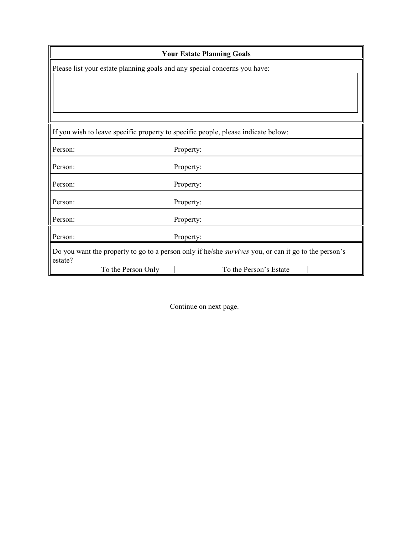|         |                    | <b>Your Estate Planning Goals</b>                                                                           |
|---------|--------------------|-------------------------------------------------------------------------------------------------------------|
|         |                    | Please list your estate planning goals and any special concerns you have:                                   |
|         |                    |                                                                                                             |
|         |                    |                                                                                                             |
|         |                    |                                                                                                             |
|         |                    |                                                                                                             |
|         |                    | If you wish to leave specific property to specific people, please indicate below:                           |
| Person: |                    | Property:                                                                                                   |
| Person: |                    | Property:                                                                                                   |
| Person: |                    | Property:                                                                                                   |
| Person: |                    | Property:                                                                                                   |
| Person: |                    | Property:                                                                                                   |
| Person: |                    | Property:                                                                                                   |
| estate? |                    | Do you want the property to go to a person only if he/she <i>survives</i> you, or can it go to the person's |
|         | To the Person Only | To the Person's Estate                                                                                      |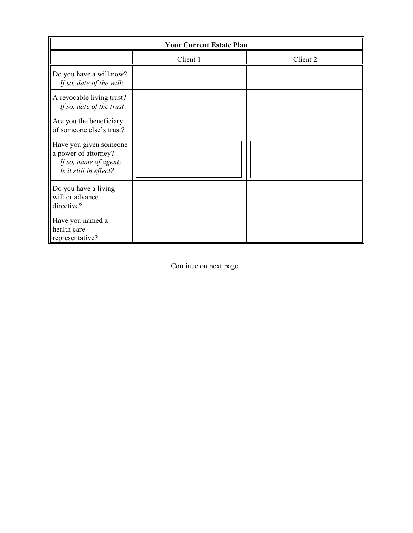| <b>Your Current Estate Plan</b>                                                                   |          |          |  |  |  |
|---------------------------------------------------------------------------------------------------|----------|----------|--|--|--|
|                                                                                                   | Client 1 | Client 2 |  |  |  |
| Do you have a will now?<br>If so, date of the will:                                               |          |          |  |  |  |
| A revocable living trust?<br>If so, date of the trust:                                            |          |          |  |  |  |
| Are you the beneficiary<br>of someone else's trust?                                               |          |          |  |  |  |
| Have you given someone<br>a power of attorney?<br>If so, name of agent:<br>Is it still in effect? |          |          |  |  |  |
| Do you have a living<br>will or advance<br>directive?                                             |          |          |  |  |  |
| Have you named a<br>health care<br>representative?                                                |          |          |  |  |  |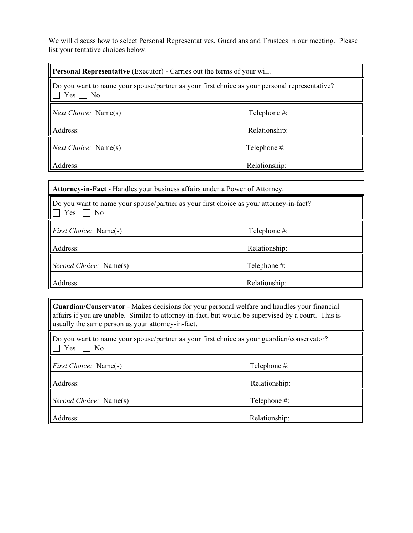We will discuss how to select Personal Representatives, Guardians and Trustees in our meeting. Please list your tentative choices below:

| <b>Personal Representative</b> (Executor) - Carries out the terms of your will.                                                     |               |  |
|-------------------------------------------------------------------------------------------------------------------------------------|---------------|--|
| Do you want to name your spouse/partner as your first choice as your personal representative?<br>Yes<br>$\overline{\phantom{1}}$ No |               |  |
| <i>Next Choice:</i> Name(s)<br>Telephone #:                                                                                         |               |  |
| Address:                                                                                                                            | Relationship: |  |
| <i>Next Choice:</i> Name(s)                                                                                                         | Telephone #:  |  |
| Address:                                                                                                                            | Relationship: |  |

| Attorney-in-Fact - Handles your business affairs under a Power of Attorney.                         |               |  |
|-----------------------------------------------------------------------------------------------------|---------------|--|
| Do you want to name your spouse/partner as your first choice as your attorney-in-fact?<br>Yes<br>No |               |  |
| <i>First Choice:</i> Name(s)                                                                        | Telephone #:  |  |
| Address:                                                                                            | Relationship: |  |
| Second Choice: Name(s)                                                                              | Telephone #:  |  |
| Address:                                                                                            | Relationship: |  |

**Guardian/Conservator** - Makes decisions for your personal welfare and handles your financial affairs if you are unable. Similar to attorney-in-fact, but would be supervised by a court. This is usually the same person as your attorney-in-fact.

|                      |  |  |  | Do you want to name your spouse/partner as your first choice as your guardian/conservator? |  |
|----------------------|--|--|--|--------------------------------------------------------------------------------------------|--|
| $\Box$ Yes $\Box$ No |  |  |  |                                                                                            |  |

| <i>First Choice:</i> Name(s)  | Telephone #:  |
|-------------------------------|---------------|
| Address:                      | Relationship: |
| <i>Second Choice:</i> Name(s) | Telephone #:  |
| Address:                      | Relationship: |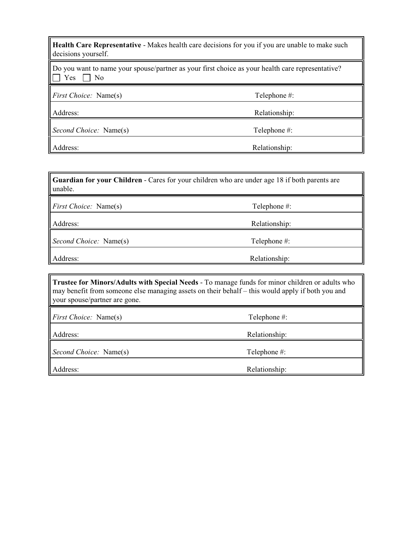| Health Care Representative - Makes health care decisions for you if you are unable to make such<br>decisions yourself. |                                                                                                  |  |
|------------------------------------------------------------------------------------------------------------------------|--------------------------------------------------------------------------------------------------|--|
| Yes<br>No                                                                                                              | Do you want to name your spouse/partner as your first choice as your health care representative? |  |
| <i>First Choice:</i> Name(s)                                                                                           | Telephone #:                                                                                     |  |
| Address:                                                                                                               | Relationship:                                                                                    |  |
| <i>Second Choice:</i> Name(s)                                                                                          | Telephone #:                                                                                     |  |
| Address:                                                                                                               | Relationship:                                                                                    |  |

<u> 1989 - Johann Stoff, amerikan besteht fan de ferstjerke fan de ferstjerke fan de ferstjerke fan de ferstjerk</u>

 $\sqrt{2}$ 

| Guardian for your Children - Cares for your children who are under age 18 if both parents are<br>unable. |                                                                                                                                                                                                     |  |  |
|----------------------------------------------------------------------------------------------------------|-----------------------------------------------------------------------------------------------------------------------------------------------------------------------------------------------------|--|--|
| <i>First Choice:</i> Name(s)                                                                             | Telephone #:                                                                                                                                                                                        |  |  |
| Address:                                                                                                 | Relationship:                                                                                                                                                                                       |  |  |
| Second Choice: Name(s)                                                                                   | Telephone #:                                                                                                                                                                                        |  |  |
| Address:                                                                                                 | Relationship:                                                                                                                                                                                       |  |  |
|                                                                                                          |                                                                                                                                                                                                     |  |  |
| your spouse/partner are gone.                                                                            | Trustee for Minors/Adults with Special Needs - To manage funds for minor children or adults who<br>may benefit from someone else managing assets on their behalf – this would apply if both you and |  |  |
| First Choice: Name(s)                                                                                    | Telephone #:                                                                                                                                                                                        |  |  |
| Address:                                                                                                 | Relationship:                                                                                                                                                                                       |  |  |
| Second Choice: Name(s)                                                                                   | Telephone #:                                                                                                                                                                                        |  |  |
| Address:                                                                                                 | Relationship:                                                                                                                                                                                       |  |  |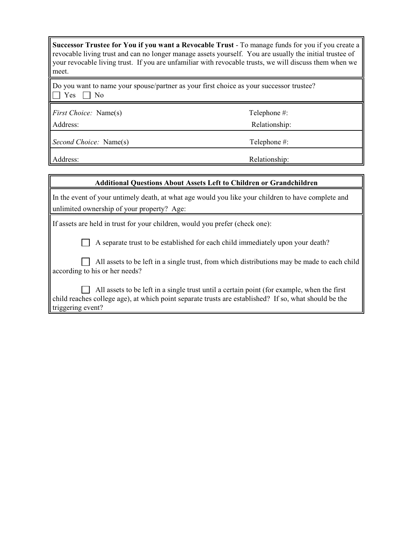| Successor Trustee for You if you want a Revocable Trust - To manage funds for you if you create a       |
|---------------------------------------------------------------------------------------------------------|
| revocable living trust and can no longer manage assets yourself. You are usually the initial trustee of |
| your revocable living trust. If you are unfamiliar with revocable trusts, we will discuss them when we  |
| meet.                                                                                                   |

Do you want to name your spouse/partner as your first choice as your successor trustee?  $\Box$  Yes  $\Box$  No

*First Choice:* Name(s) Telephone #: Address: Relationship: Relationship:

*Second Choice:* Name(s) Telephone #:

Address: Relationship: Relationship:

| <b>Additional Questions About Assets Left to Children or Grandchildren</b>                                                                                                                                               |
|--------------------------------------------------------------------------------------------------------------------------------------------------------------------------------------------------------------------------|
| In the event of your untimely death, at what age would you like your children to have complete and<br>unlimited ownership of your property? Age:                                                                         |
| If assets are held in trust for your children, would you prefer (check one):                                                                                                                                             |
| A separate trust to be established for each child immediately upon your death?                                                                                                                                           |
| All assets to be left in a single trust, from which distributions may be made to each child<br>according to his or her needs?                                                                                            |
| All assets to be left in a single trust until a certain point (for example, when the first<br>child reaches college age), at which point separate trusts are established? If so, what should be the<br>triggering event? |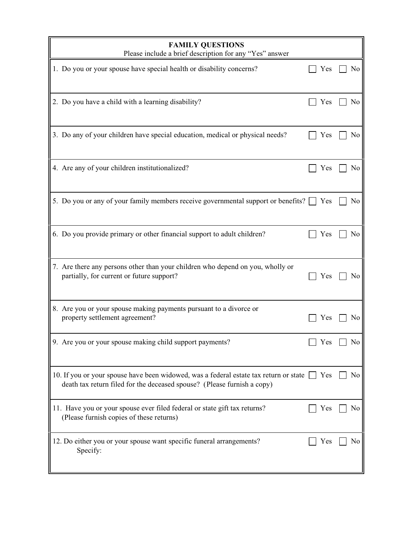| <b>FAMILY QUESTIONS</b><br>Please include a brief description for any "Yes" answer                                                                                      |     |    |
|-------------------------------------------------------------------------------------------------------------------------------------------------------------------------|-----|----|
| 1. Do you or your spouse have special health or disability concerns?                                                                                                    | Yes | No |
| 2. Do you have a child with a learning disability?                                                                                                                      | Yes | No |
| 3. Do any of your children have special education, medical or physical needs?                                                                                           | Yes | No |
| 4. Are any of your children institutionalized?                                                                                                                          | Yes | No |
| 5. Do you or any of your family members receive governmental support or benefits? $\Box$                                                                                | Yes | No |
| 6. Do you provide primary or other financial support to adult children?                                                                                                 | Yes | No |
| 7. Are there any persons other than your children who depend on you, wholly or<br>partially, for current or future support?                                             | Yes | No |
| 8. Are you or your spouse making payments pursuant to a divorce or<br>property settlement agreement?                                                                    | Yes | No |
| 9. Are you or your spouse making child support payments?                                                                                                                | Yes | No |
| 10. If you or your spouse have been widowed, was a federal estate tax return or state $\Box$<br>death tax return filed for the deceased spouse? (Please furnish a copy) | Yes | No |
| 11. Have you or your spouse ever filed federal or state gift tax returns?<br>(Please furnish copies of these returns)                                                   | Yes | No |
| 12. Do either you or your spouse want specific funeral arrangements?<br>Specify:                                                                                        | Yes | No |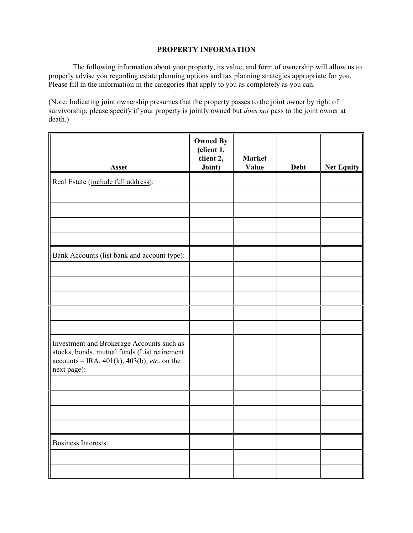## **PROPERTY INFORMATION**

The following information about your property, its value, and form of ownership will allow us to properly advise you regarding estate planning options and tax planning strategies appropriate for you. Please fill in the information in the categories that apply to you as completely as you can.

(Note: Indicating joint ownership presumes that the property passes to the joint owner by right of survivorship; please specify if your property is jointly owned but *does not* pass to the joint owner at death.)

| Asset                                                                                                                                                     | <b>Owned By</b><br>(client 1,<br>client 2,<br>Joint) | <b>Market</b><br>Value | <b>Debt</b> | <b>Net Equity</b> |
|-----------------------------------------------------------------------------------------------------------------------------------------------------------|------------------------------------------------------|------------------------|-------------|-------------------|
| Real Estate (include full address):                                                                                                                       |                                                      |                        |             |                   |
|                                                                                                                                                           |                                                      |                        |             |                   |
|                                                                                                                                                           |                                                      |                        |             |                   |
|                                                                                                                                                           |                                                      |                        |             |                   |
| Bank Accounts (list bank and account type):                                                                                                               |                                                      |                        |             |                   |
|                                                                                                                                                           |                                                      |                        |             |                   |
|                                                                                                                                                           |                                                      |                        |             |                   |
|                                                                                                                                                           |                                                      |                        |             |                   |
|                                                                                                                                                           |                                                      |                        |             |                   |
| Investment and Brokerage Accounts such as<br>stocks, bonds, mutual funds (List retirement<br>$accounts - IRA, 401(k), 403(b), etc.$ on the<br>next page): |                                                      |                        |             |                   |
|                                                                                                                                                           |                                                      |                        |             |                   |
|                                                                                                                                                           |                                                      |                        |             |                   |
|                                                                                                                                                           |                                                      |                        |             |                   |
|                                                                                                                                                           |                                                      |                        |             |                   |
| <b>Business Interests:</b>                                                                                                                                |                                                      |                        |             |                   |
|                                                                                                                                                           |                                                      |                        |             |                   |
|                                                                                                                                                           |                                                      |                        |             |                   |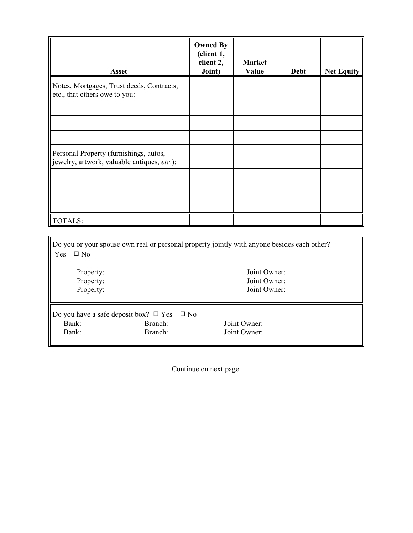| <b>Asset</b>                                                                          | <b>Owned By</b><br>(client 1,<br>client 2,<br>Joint) | <b>Market</b><br>Value | <b>Debt</b> | <b>Net Equity</b> |
|---------------------------------------------------------------------------------------|------------------------------------------------------|------------------------|-------------|-------------------|
| Notes, Mortgages, Trust deeds, Contracts,<br>etc., that others owe to you:            |                                                      |                        |             |                   |
|                                                                                       |                                                      |                        |             |                   |
| Personal Property (furnishings, autos,<br>jewelry, artwork, valuable antiques, etc.): |                                                      |                        |             |                   |
|                                                                                       |                                                      |                        |             |                   |
| <b>TOTALS:</b>                                                                        |                                                      |                        |             |                   |

| Do you or your spouse own real or personal property jointly with anyone besides each other? |              |              |  |  |
|---------------------------------------------------------------------------------------------|--------------|--------------|--|--|
| <b>Yes</b><br>$\Box$ No                                                                     |              |              |  |  |
| Property:                                                                                   |              | Joint Owner: |  |  |
| Property:                                                                                   |              | Joint Owner: |  |  |
| Property:                                                                                   |              | Joint Owner: |  |  |
|                                                                                             |              |              |  |  |
| Do you have a safe deposit box? $\Box$ Yes                                                  | $\square$ No |              |  |  |
| Bank:                                                                                       | Branch:      | Joint Owner: |  |  |
| Bank:                                                                                       | Branch:      | Joint Owner: |  |  |
|                                                                                             |              |              |  |  |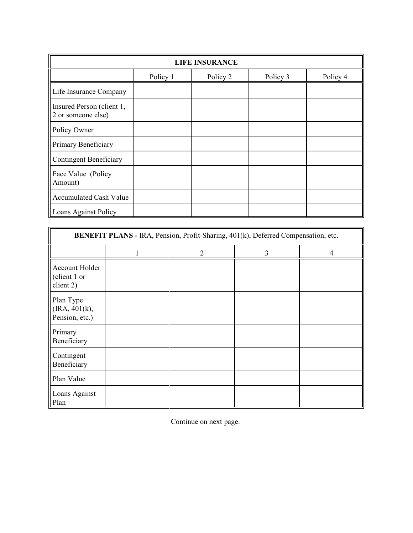| <b>LIFE INSURANCE</b>                           |          |          |          |          |  |
|-------------------------------------------------|----------|----------|----------|----------|--|
|                                                 | Policy 1 | Policy 2 | Policy 3 | Policy 4 |  |
| Life Insurance Company                          |          |          |          |          |  |
| Insured Person (client 1,<br>2 or someone else) |          |          |          |          |  |
| Policy Owner                                    |          |          |          |          |  |
| Primary Beneficiary                             |          |          |          |          |  |
| <b>Contingent Beneficiary</b>                   |          |          |          |          |  |
| Face Value (Policy<br>Amount)                   |          |          |          |          |  |
| Accumulated Cash Value                          |          |          |          |          |  |
| <b>Loans Against Policy</b>                     |          |          |          |          |  |

| BENEFIT PLANS - IRA, Pension, Profit-Sharing, 401(k), Deferred Compensation, etc. |  |   |   |  |
|-----------------------------------------------------------------------------------|--|---|---|--|
|                                                                                   |  | 2 | 3 |  |
| Account Holder<br>(client 1 or<br>client 2)                                       |  |   |   |  |
| Plan Type<br>(IRA, 401(k),<br>Pension, etc.)                                      |  |   |   |  |
| Primary<br>Beneficiary                                                            |  |   |   |  |
| Contingent<br>Beneficiary                                                         |  |   |   |  |
| Plan Value                                                                        |  |   |   |  |
| Loans Against<br>Plan                                                             |  |   |   |  |